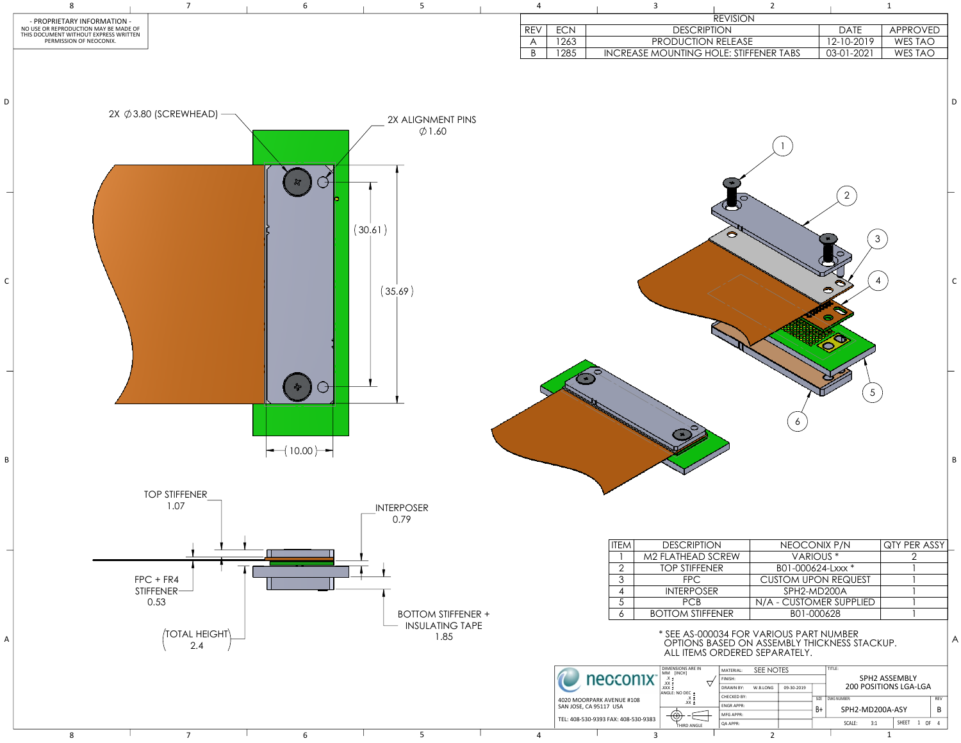

| <b>REVISION</b>      |              |                 |
|----------------------|--------------|-----------------|
| PTION                | <b>DATE</b>  | <b>APPROVED</b> |
| N RELEASE            | 12-10-2019   | WES TAO         |
| HOLE: STIFFENER TABS | $03-01-2021$ | WES TAO         |
|                      |              |                 |
|                      |              |                 |

| ON           | NEOCONIX P/N               | QTY PER ASSY |
|--------------|----------------------------|--------------|
| <b>SCREW</b> | VARIOUS <sup>*</sup>       |              |
| NER          | B01-000624-Lxxx *          |              |
|              | <b>CUSTOM UPON REQUEST</b> |              |
| FR.          | SPH2-MD200A                |              |
|              | N/A - CUSTOMER SUPPLIED    |              |
| FENER        | B01-000628                 |              |
|              |                            |              |

| MATERIAL:        | SEE NOTES |            | TITLE: |               |                              |                 |              |                    |            |
|------------------|-----------|------------|--------|---------------|------------------------------|-----------------|--------------|--------------------|------------|
| FINISH:          |           |            |        | SPH2 ASSEMBLY |                              |                 |              |                    |            |
| <b>DRAWN BY:</b> | W.B.LONG  | 09-30-2019 |        |               | <b>200 POSITIONS LGA-LGA</b> |                 |              |                    |            |
| CHECKED BY:      |           |            | SIZE   |               | DWG NUMBER:                  |                 |              |                    | <b>REV</b> |
| <b>ENGRAPPR:</b> |           |            | B+     |               |                              | SPH2-MD200A-ASY |              |                    | В          |
| MFG APPR:        |           |            |        |               |                              |                 |              |                    |            |
| <b>QA APPR:</b>  |           |            |        |               | SCALE:                       | 3:1             | <b>SHEET</b> | 0F<br>$\mathbf{1}$ | 4          |
|                  | ⌒         |            |        |               |                              | л               |              |                    |            |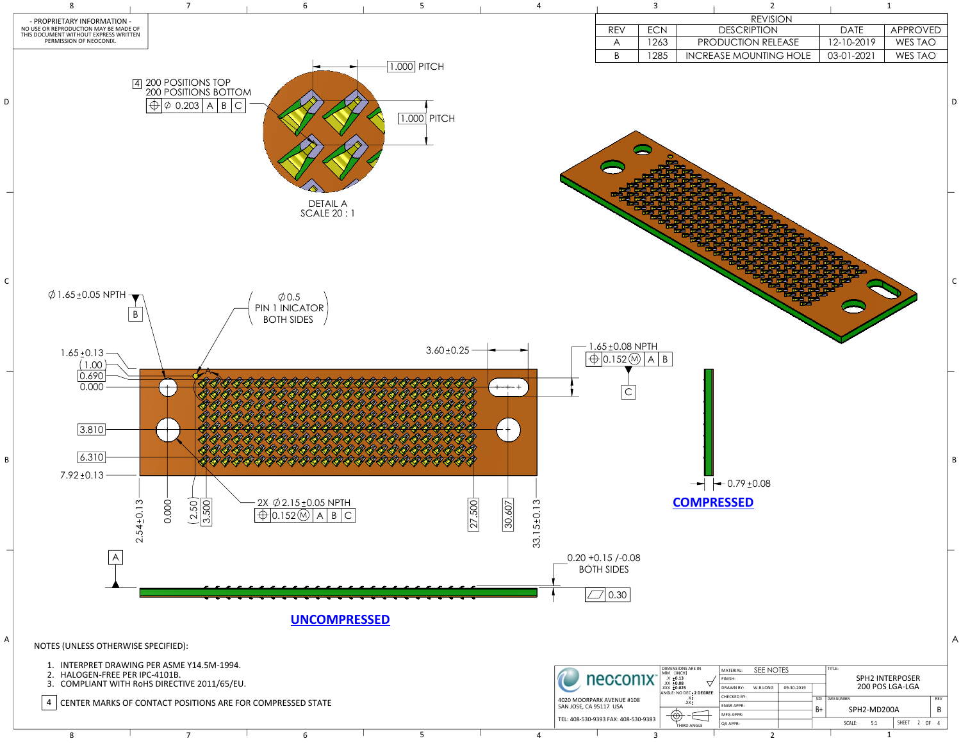**COMPRESSED**

|                                    | 3          | $\overline{2}$                |             | $\mathbf 1$    |  |
|------------------------------------|------------|-------------------------------|-------------|----------------|--|
|                                    |            | <b>REVISION</b>               |             |                |  |
| <b>REV</b>                         | <b>ECN</b> | <b>DESCRIPTION</b>            | <b>DATE</b> | APPROVED       |  |
| $\bigwedge$                        | 1263       | PRODUCTION RELEASE            | 12-10-2019  | <b>WES TAO</b> |  |
| $\sf B$                            | 1285       | <b>INCREASE MOUNTING HOLE</b> | 03-01-2021  | <b>WES TAO</b> |  |
|                                    |            |                               |             |                |  |
| $±0.08$ NPTH<br>$.152$ $\circledR$ | B<br>A     |                               |             |                |  |

 $\rightarrow$   $\leftarrow$  0.79 ± 0.08



8 1 2 1 2 1

|            | MATERIAL:          | TITLE:<br>SEE NOTES |            |             |             |        |                          |              |      |            |  |
|------------|--------------------|---------------------|------------|-------------|-------------|--------|--------------------------|--------------|------|------------|--|
|            | FINISH:            |                     |            |             |             |        | <b>SPH2 INTERPOSER</b>   |              |      |            |  |
|            | <b>DRAWN BY:</b>   | W.B.LONG            | 09-30-2019 |             |             |        | 200 POS LGA-LGA          |              |      |            |  |
| <b>REE</b> | <b>CHECKED BY:</b> |                     | SIZE       | DWG NUMBER: |             |        |                          |              |      | <b>REV</b> |  |
|            | <b>ENGRAPPR:</b>   |                     |            | B+          | SPH2-MD200A |        |                          |              | В    |            |  |
|            | MFG APPR:          |                     |            |             |             |        |                          |              |      |            |  |
|            | QA APPR:           |                     |            |             |             | SCALE: | 5:1                      | <b>SHEET</b> | 2 OF |            |  |
|            |                    | ∽                   |            |             |             |        | $\overline{\phantom{a}}$ |              |      |            |  |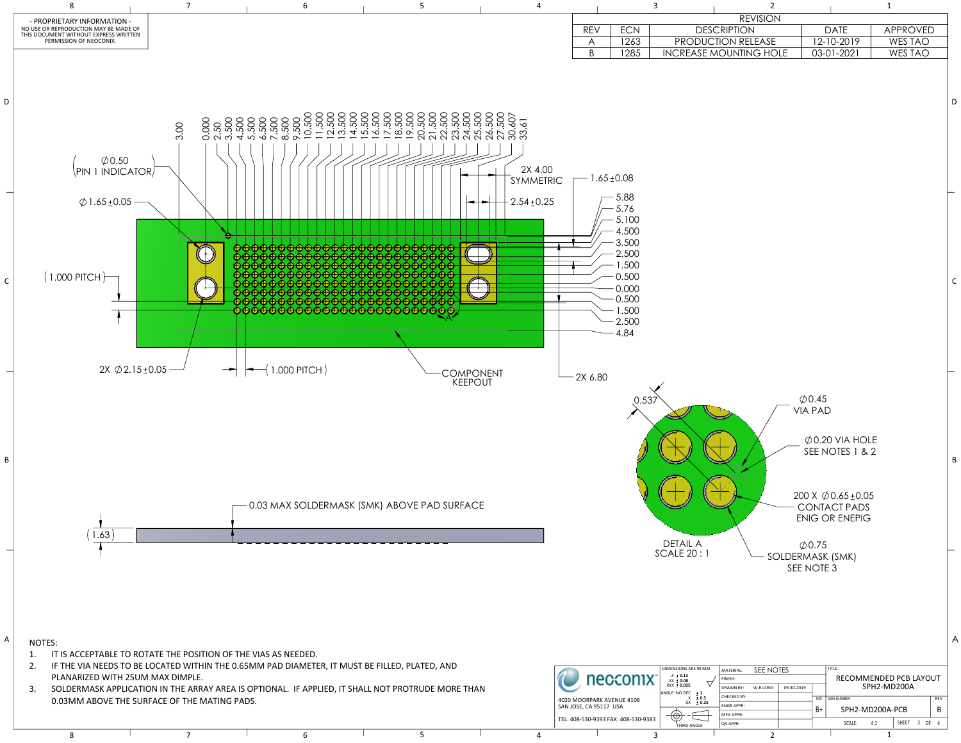| <b>REVISION</b>       |            |                 |
|-----------------------|------------|-----------------|
| ESCRIPTION            | DATE       | <b>APPROVED</b> |
| JCTION RELEASE        | 12-10-2019 | WES TAO         |
| <b>EMOUNTING HOLE</b> | 03-01-2021 | WES TAO         |
|                       |            |                 |



| M | MATERIAL:                                  | SEE NOTES |  |                        | TITLE:      |  |                          |              |              |     |            |
|---|--------------------------------------------|-----------|--|------------------------|-------------|--|--------------------------|--------------|--------------|-----|------------|
|   | FINISH:                                    |           |  | RECOMMENDED PCB LAYOUT |             |  |                          |              |              |     |            |
|   | <b>DRAWN BY:</b><br>09-30-2019<br>W.B.LONG |           |  |                        |             |  | SPH2-MD200A              |              |              |     |            |
|   | CHECKED BY:                                |           |  | SIZE                   | DWG NUMBER: |  |                          |              |              |     | <b>REV</b> |
| 5 | <b>ENGRAPPR:</b>                           |           |  | B+                     |             |  | SPH2-MD200A-PCB          |              |              |     | B          |
|   | MFG APPR:                                  |           |  |                        |             |  |                          |              |              |     |            |
|   | <b>QA APPR:</b>                            |           |  |                        | SCALE:      |  | 4:1                      | <b>SHEET</b> | $\mathbf{3}$ | -OF | Δ          |
|   |                                            | ◠         |  |                        |             |  | $\overline{\phantom{a}}$ |              |              |     |            |